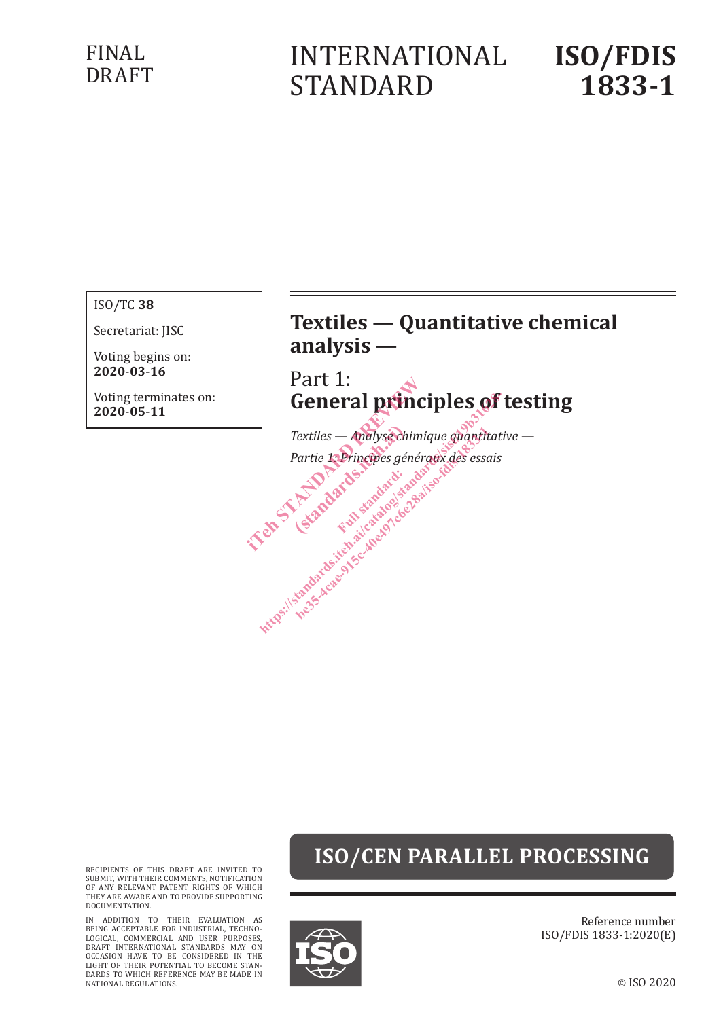## FINAL DRAFT

# INTERNATIONAL STANDARD

# **ISO/FDIS 1833-1**

ISO/TC **38**

Secretariat: JISC

Voting begins on: **2020**-**03**-**16**

Voting terminates on: **2020**-**05**-**11**

# **Textiles — Quantitative chemical analysis —**

# Part 1:<br>
Textiles - Analyse chimique<br>
Partie 1: Principes généraux<br>
Partie 1: Principes généraux<br>
Standard Principes de Sandard<br>
Standard Principes de Sandard<br>
Standard Principes de Sandard<br>
Standard Principes de Sandard **General principles of testing**

*Textiles — Analyse chimique quantitative — Partie 1: Principes généraux des essais* Textiles - Analyse chi General principles of the results - Analyse chimique guantitative parties - Analyse chimique guantitative parties of the standard standards and catalog is a standard standard standards. Fextiles - Analyse chimique guantit<br>Partie 1: Principes généraux des esse

#### RECIPIENTS OF THIS DRAFT ARE INVITED TO SUBMIT, WITH THEIR COMMENTS, NOTIFICATION OF ANY RELEVANT PATENT RIGHTS OF WHICH THEY ARE AWARE AND TO PROVIDE SUPPORTING DOCUMENTATION.

IN ADDITION TO THEIR EVALUATION AS<br>BEING ACCEPTABLE FOR INDUSTRIAL, TECHNO-<br>LOGICAL, COMMERCIAL AND USER PURPOSES,<br>DRAFT INTERNATIONAL STANDARDS MAY ON<br>OCCASION HAVE TO BE CONSIDERED IN THE<br>LIGHT OF THEIR POTENTIAL TO BECO DARDS TO WHICH REFERENCE MAY BE MADE IN NATIONAL REGULATIONS.

# **ISO/CEN PARALLEL PROCESSING**



Reference number ISO/FDIS 1833-1:2020(E)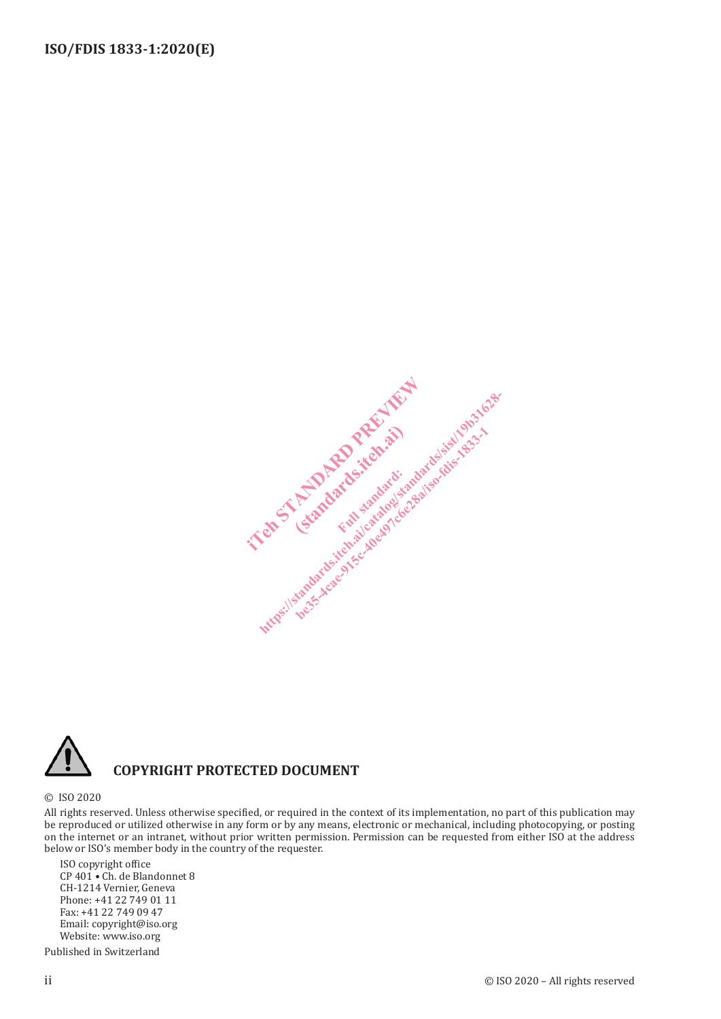



## **COPYRIGHT PROTECTED DOCUMENT**

#### © ISO 2020

All rights reserved. Unless otherwise specified, or required in the context of its implementation, no part of this publication may be reproduced or utilized otherwise in any form or by any means, electronic or mechanical, including photocopying, or posting on the internet or an intranet, without prior written permission. Permission can be requested from either ISO at the address below or ISO's member body in the country of the requester.

ISO copyright office CP 401 • Ch. de Blandonnet 8 CH-1214 Vernier, Geneva Phone: +41 22 749 01 11 Fax: +41 22 749 09 47 Email: copyright@iso.org Website: www.iso.org

Published in Switzerland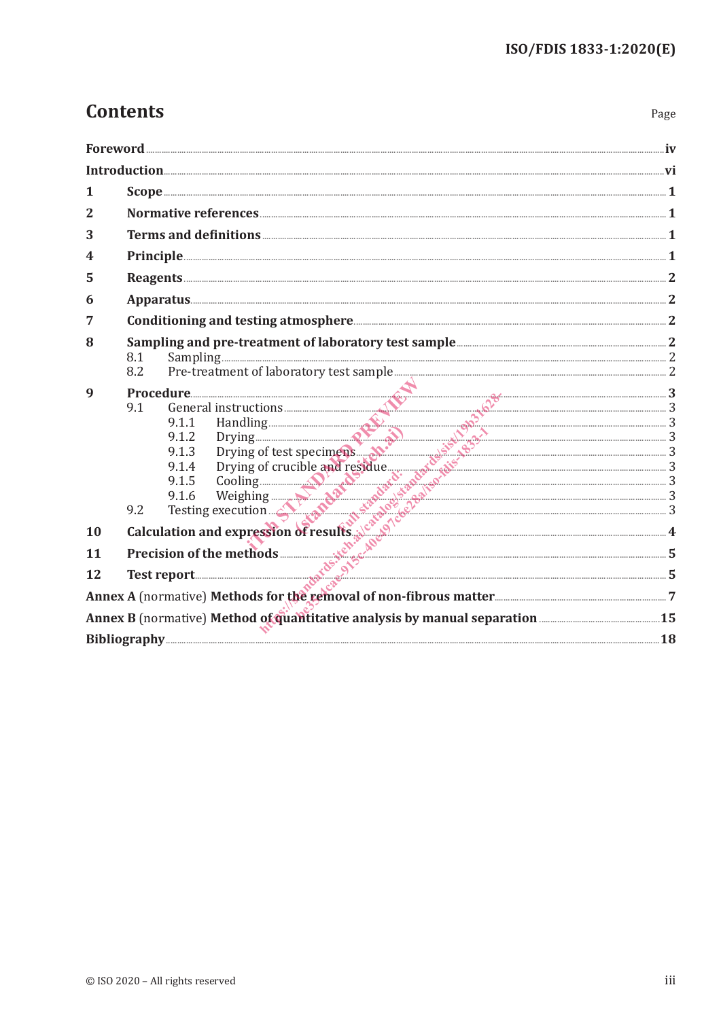Page

## **Contents**

|                                                                                                                                                                                                                                     |             | Introduction was also a view of the contract of the contract of the contract of the contract of the contract of the contract of the contract of the contract of the contract of the contract of the contract of the contract o                     |  |
|-------------------------------------------------------------------------------------------------------------------------------------------------------------------------------------------------------------------------------------|-------------|----------------------------------------------------------------------------------------------------------------------------------------------------------------------------------------------------------------------------------------------------|--|
| 1                                                                                                                                                                                                                                   |             |                                                                                                                                                                                                                                                    |  |
| 2                                                                                                                                                                                                                                   |             |                                                                                                                                                                                                                                                    |  |
| 3                                                                                                                                                                                                                                   |             |                                                                                                                                                                                                                                                    |  |
| 4                                                                                                                                                                                                                                   |             |                                                                                                                                                                                                                                                    |  |
|                                                                                                                                                                                                                                     |             |                                                                                                                                                                                                                                                    |  |
| 5                                                                                                                                                                                                                                   |             |                                                                                                                                                                                                                                                    |  |
| 6                                                                                                                                                                                                                                   |             |                                                                                                                                                                                                                                                    |  |
| 7                                                                                                                                                                                                                                   |             |                                                                                                                                                                                                                                                    |  |
| 8                                                                                                                                                                                                                                   | 8.1<br>8.2  |                                                                                                                                                                                                                                                    |  |
| 9                                                                                                                                                                                                                                   | Procedure 3 |                                                                                                                                                                                                                                                    |  |
|                                                                                                                                                                                                                                     |             | Procedure.<br>9.1 General instructions<br>9.1.2 Drying<br>9.1.3 Drying of test specimes<br>9.1.3 Drying of test specimes<br>9.1.4 Drying of crucible and residue<br>9.1.5 Cooling<br>9.1.6 Weighing<br>9.1.6 Weighing<br>9.2 Testing execution<br> |  |
| <b>10</b>                                                                                                                                                                                                                           |             |                                                                                                                                                                                                                                                    |  |
| 11                                                                                                                                                                                                                                  |             |                                                                                                                                                                                                                                                    |  |
| 12                                                                                                                                                                                                                                  |             |                                                                                                                                                                                                                                                    |  |
| Annex A (normative) Methods for the removal of non-fibrous matter <b>and the set of the contract of the set of non-fibrous matter</b> and the set of the set of the set of the set of the set of the set of the set of the set of t |             |                                                                                                                                                                                                                                                    |  |
|                                                                                                                                                                                                                                     |             |                                                                                                                                                                                                                                                    |  |
|                                                                                                                                                                                                                                     |             |                                                                                                                                                                                                                                                    |  |
|                                                                                                                                                                                                                                     |             |                                                                                                                                                                                                                                                    |  |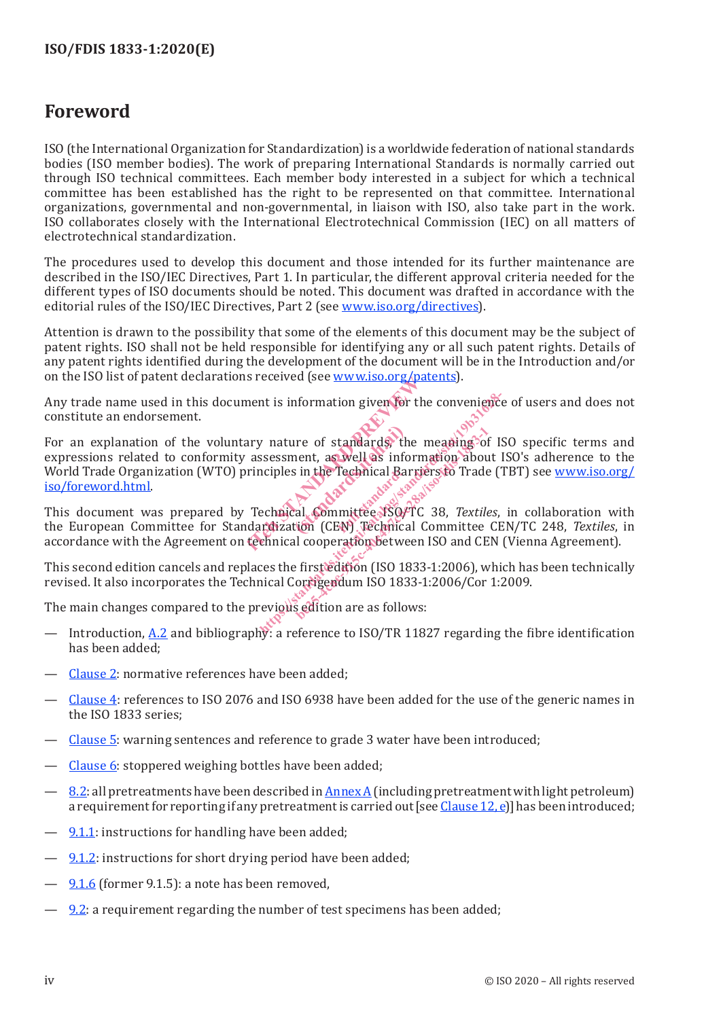## **Foreword**

ISO (the International Organization for Standardization) is a worldwide federation of national standards bodies (ISO member bodies). The work of preparing International Standards is normally carried out through ISO technical committees. Each member body interested in a subject for which a technical committee has been established has the right to be represented on that committee. International organizations, governmental and non-governmental, in liaison with ISO, also take part in the work. ISO collaborates closely with the International Electrotechnical Commission (IEC) on all matters of electrotechnical standardization.

The procedures used to develop this document and those intended for its further maintenance are described in the ISO/IEC Directives, Part 1. In particular, the different approval criteria needed for the different types of ISO documents should be noted. This document was drafted in accordance with the editorial rules of the ISO/IEC Directives, Part 2 (see www.iso.org/directives).

Attention is drawn to the possibility that some of the elements of this document may be the subject of patent rights. ISO shall not be held responsible for identifying any or all such patent rights. Details of any patent rights identified during the development of the document will be in the Introduction and/or on the ISO list of patent declarations received (see www.iso.org/patents).

Any trade name used in this document is information given for the convenience of users and does not constitute an endorsement.

For an explanation of the voluntary nature of standards, the meaning of ISO specific terms and expressions related to conformity assessment, as well as information about ISO's adherence to the World Trade Organization (WTO) principles in the Technical Barriers to Trade (TBT) see www.iso.org/ iso/foreword.html. is information given for the computer of standards, the meansessment, as well as information inciples in the Technical Barriers of the means of the Technical Barriers of the Technical Committee JSO/TC 38 dardization (CEN). The contract of standards, the ment, as well as info<br>sin the Technical Bar<br>fall committee  $80^\circ$ <br>tion (CEN). Technical ht is information given for the convenience<br>we nature of standards, the meaning of IS<br>ssessment, as well as information about IS<br>nciples in the Technical Barriers to Trade (T<br>rechnical Committee ISO/TC 38, *Textiles*, in<br>n France of standards, the meaning of<br>1ent, as well as information about<br>1. in the Technical Barriers to Trade<br>1. al. Committee SSOTC 38, Textile<br>1. committee SSOTC 38, Textile<br>1. cooperation (EEN) Technical Committee<br>1. coo

This document was prepared by Technical Committee ISO/TC 38, *Textiles*, in collaboration with the European Committee for Standardization (CEN) Technical Committee CEN/TC 248, *Textiles*, in accordance with the Agreement on technical cooperation between ISO and CEN (Vienna Agreement).

This second edition cancels and replaces the first edition (ISO 1833-1:2006), which has been technically revised. It also incorporates the Technical Corrigendum ISO 1833-1:2006/Cor 1:2009.

The main changes compared to the previous edition are as follows:

- Introduction, A.2 and bibliography: a reference to ISO/TR 11827 regarding the fibre identification has been added;
- Clause 2: normative references have been added;
- Clause 4: references to ISO 2076 and ISO 6938 have been added for the use of the generic names in the ISO 1833 series;
- Clause 5: warning sentences and reference to grade 3 water have been introduced;
- Clause 6: stoppered weighing bottles have been added;
- $-8.2$ : all pretreatments have been described in Annex A (including pretreatment with light petroleum) a requirement for reporting if any pretreatment is carried out [see Clause 12, e)] has been introduced;
- 9.1.1: instructions for handling have been added;
- 9.1.2: instructions for short drying period have been added;
- $-9.1.6$  (former 9.1.5): a note has been removed,
- 9.2: a requirement regarding the number of test specimens has been added;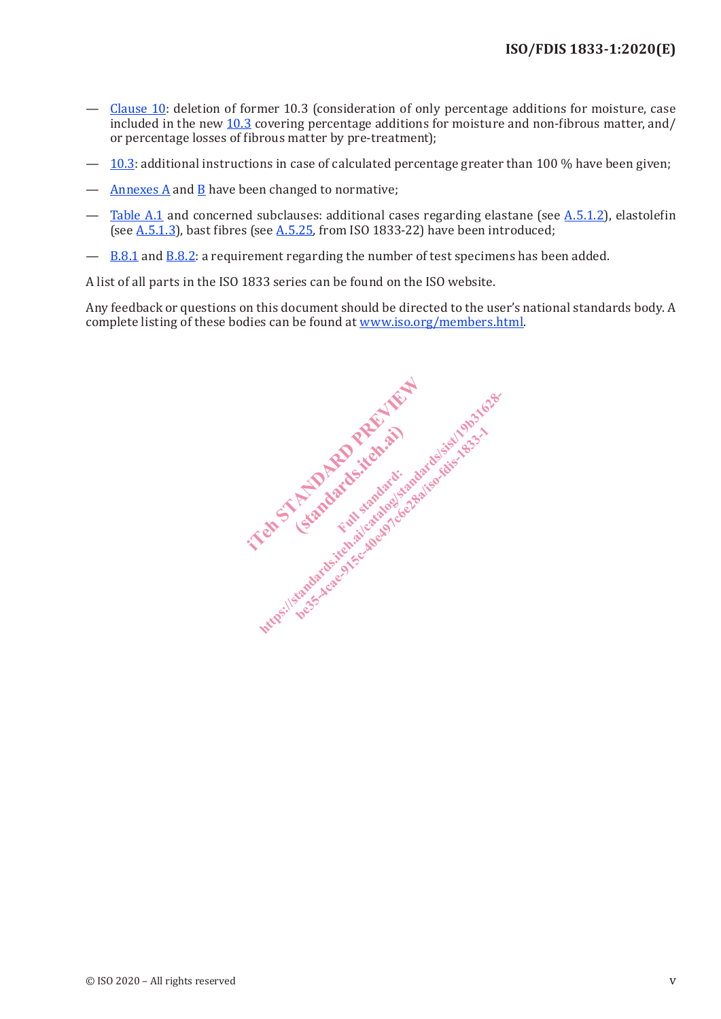- Clause 10: deletion of former 10.3 (consideration of only percentage additions for moisture, case included in the new 10.3 covering percentage additions for moisture and non-fibrous matter, and/ or percentage losses of fibrous matter by pre-treatment);
- $-$  10.3: additional instructions in case of calculated percentage greater than 100 % have been given;
- $\frac{1}{2}$  Annexes A and B have been changed to normative;
- Table A.1 and concerned subclauses: additional cases regarding elastane (see A.5.1.2), elastolefin (see  $A.5.1.3$ ), bast fibres (see  $A.5.25$ , from ISO 1833-22) have been introduced;
- B.8.1 and B.8.2: a requirement regarding the number of test specimens has been added.

A list of all parts in the ISO 1833 series can be found on the ISO website.

Any feedback or questions on this document should be directed to the user's national standards body. A complete listing of these bodies can be found at www.iso.org/members.html.

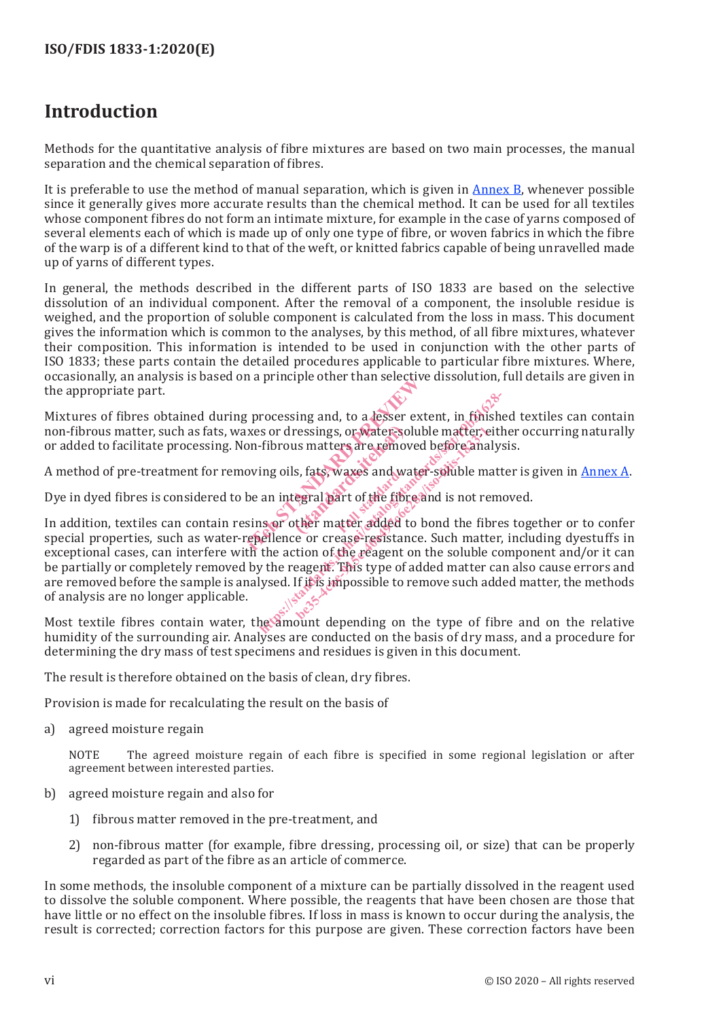## **Introduction**

Methods for the quantitative analysis of fibre mixtures are based on two main processes, the manual separation and the chemical separation of fibres.

It is preferable to use the method of manual separation, which is given in Annex B, whenever possible since it generally gives more accurate results than the chemical method. It can be used for all textiles whose component fibres do not form an intimate mixture, for example in the case of yarns composed of several elements each of which is made up of only one type of fibre, or woven fabrics in which the fibre of the warp is of a different kind to that of the weft, or knitted fabrics capable of being unravelled made up of yarns of different types.

In general, the methods described in the different parts of ISO 1833 are based on the selective dissolution of an individual component. After the removal of a component, the insoluble residue is weighed, and the proportion of soluble component is calculated from the loss in mass. This document gives the information which is common to the analyses, by this method, of all fibre mixtures, whatever their composition. This information is intended to be used in conjunction with the other parts of ISO 1833; these parts contain the detailed procedures applicable to particular fibre mixtures. Where, occasionally, an analysis is based on a principle other than selective dissolution, full details are given in the appropriate part.

Mixtures of fibres obtained during processing and, to a lesser extent, in finished textiles can contain non-fibrous matter, such as fats, waxes or dressings, or water-soluble matter, either occurring naturally or added to facilitate processing. Non-fibrous matters are removed before analysis. In addition, textiles can contain resing or other matters are removed before analysis.<br>In method of pre-treatment for removing oils, fats, waxes and water-soluble matter is given in <u>Annex A</u>.<br>Dye in dyed fibres is conside It a principle other than selective different<br>ixes or dressings, or water soluble non-fibrous matters are removed be<br>oving oils, fats, waxes and water-soluble<br>be an integral part of the fibre and<br>sins or other matter added

A method of pre-treatment for removing oils, fats, waxes and water-soluble matter is given in Annex A.

Dye in dyed fibres is considered to be an integral part of the fibre and is not removed.

special properties, such as water-repellence or crease-resistance. Such matter, including dyestuffs in exceptional cases, can interfere with the action of the reagent on the soluble component and/or it can be partially or completely removed by the reagent. This type of added matter can also cause errors and are removed before the sample is analysed. If it is impossible to remove such added matter, the methods of analysis are no longer applicable. rocessing and, to a lesser extent, in finishes or dressings, or water soluble matter, eith-<br>fibrous matters are removed before analysis<br>ing oils, fats, waxes and water-soluble matte<br>an integral part of the fibre and is not ressings, or water soluble matter, is matters are removed before and<br>s, fats, waxes and water-soluble m<br>egral part of the fibre and is not re<br>gral part of the fibre and is not re<br>ther matter added to bond the filt<br>e or cre

Most textile fibres contain water, the amount depending on the type of fibre and on the relative humidity of the surrounding air. Analyses are conducted on the basis of dry mass, and a procedure for determining the dry mass of test specimens and residues is given in this document.

The result is therefore obtained on the basis of clean, dry fibres.

Provision is made for recalculating the result on the basis of

a) agreed moisture regain

NOTE The agreed moisture regain of each fibre is specified in some regional legislation or after agreement between interested parties.

- b) agreed moisture regain and also for
	- 1) fibrous matter removed in the pre-treatment, and
	- 2) non-fibrous matter (for example, fibre dressing, processing oil, or size) that can be properly regarded as part of the fibre as an article of commerce.

In some methods, the insoluble component of a mixture can be partially dissolved in the reagent used to dissolve the soluble component. Where possible, the reagents that have been chosen are those that have little or no effect on the insoluble fibres. If loss in mass is known to occur during the analysis, the result is corrected; correction factors for this purpose are given. These correction factors have been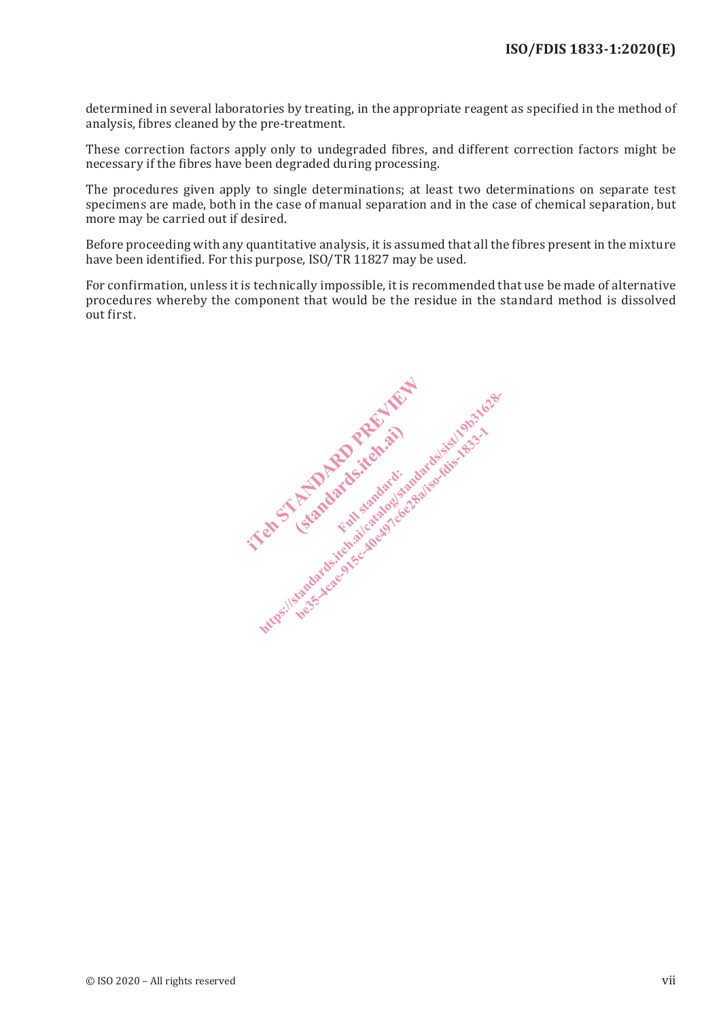determined in several laboratories by treating, in the appropriate reagent as specified in the method of analysis, fibres cleaned by the pre-treatment.

These correction factors apply only to undegraded fibres, and different correction factors might be necessary if the fibres have been degraded during processing.

The procedures given apply to single determinations; at least two determinations on separate test specimens are made, both in the case of manual separation and in the case of chemical separation, but more may be carried out if desired.

Before proceeding with any quantitative analysis, it is assumed that all the fibres present in the mixture have been identified. For this purpose, ISO/TR 11827 may be used.

For confirmation, unless it is technically impossible, it is recommended that use be made of alternative procedures whereby the component that would be the residue in the standard method is dissolved out first.

in Standard Preview individual (Standards.iteh.ai) https://standards.iteh.ai/catalogistican.ai/catalogistican.ai/catalogistican.ai/catalogistican.ai/catalogistica<br>catalogistican.ai/catalogistican.ai/catalogistican.ai/catalogistican.ai/catalogistican.ai/catalogistican.ai/ca best to the state of the state of the state of the state of the state of the state of the state of the state of the state of the state of the state of the state of the state of the state of the state of the state of the st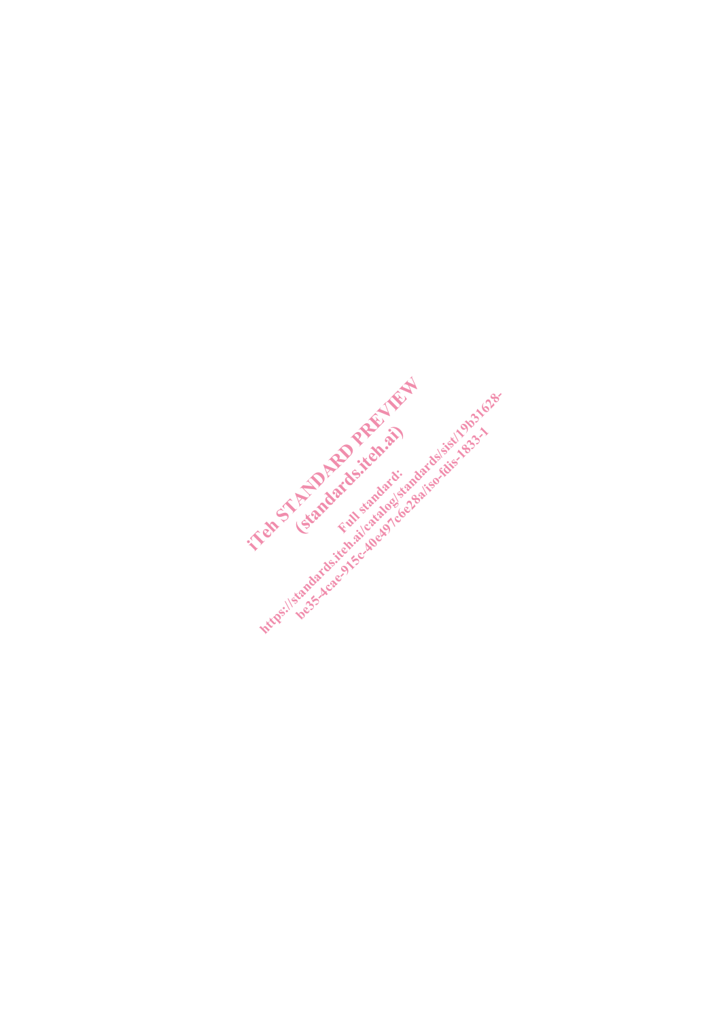IF IN 1979 Active Manufacture of Canada Handa Stripger 1973-1989 Tem of A Property is an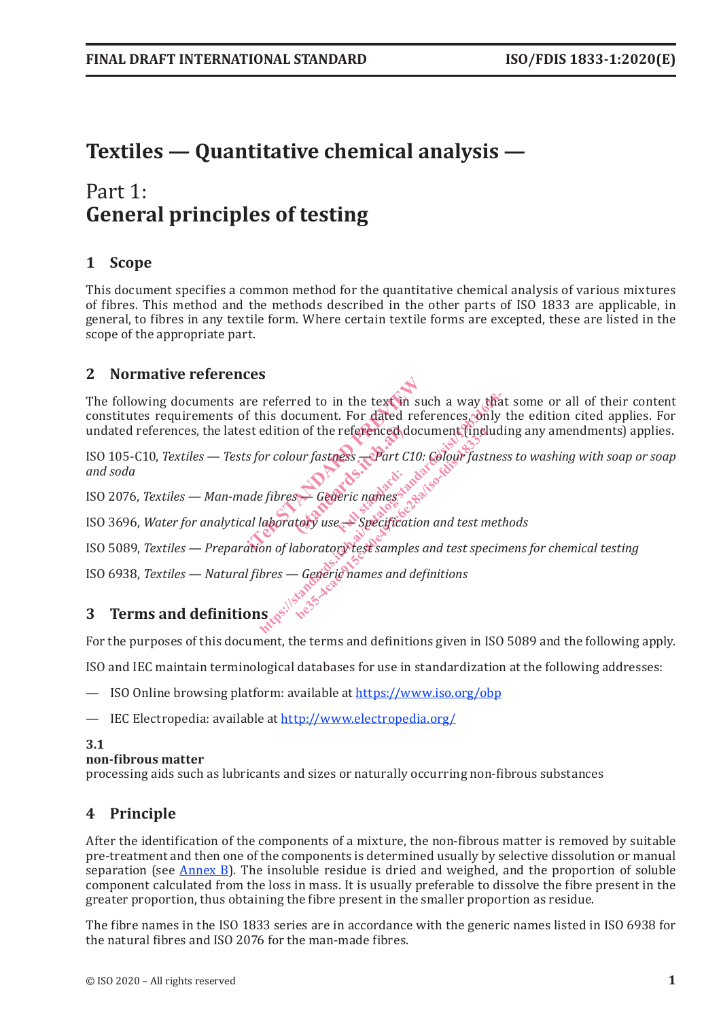# **Textiles — Quantitative chemical analysis —**

## Part 1: **General principles of testing**

## **1 Scope**

This document specifies a common method for the quantitative chemical analysis of various mixtures of fibres. This method and the methods described in the other parts of ISO 1833 are applicable, in general, to fibres in any textile form. Where certain textile forms are excepted, these are listed in the scope of the appropriate part.

#### **2 Normative references**

The following documents are referred to in the text in such a way that some or all of their content constitutes requirements of this document. For dated references, only the edition cited applies. For undated references, the latest edition of the referenced document (including any amendments) applies. re referred to in the text in such<br>f this document. For dated referenced<br>st edition of the referenced docume<br>s for colour fastness ... Part C10: Got<br>ade fibres ... Generic names<br>and laboratory use ... Specification and<br>iti referred to in the text in such a way that<br>his document. For dated references only to<br>edition of the referenced document (includition<br>colour fastness  $\overline{R}$  Part C10: Golour fastness<br>e fibres - Generic names<br>and  $\overline{R}$ 

ISO 105-C10, *Textiles — Tests for colour fastness — Part C10: Colour fastness to washing with soap or soap and soda* m of the referenced dependenced dependence of the red control of the control of the control of the set of the control of  $\overrightarrow{S}$  pecificate of  $\overrightarrow{S}$  pecificate of  $\overrightarrow{S}$  pecificate of  $\overrightarrow{S}$  pecificate of  $\overrightarrow{S}$ best of the referenced document (find<br>
ur fastness<br>
Part C10: Golour fast<br>
Ceneric names<br>
tory use a Specification and test m<br>
aboratory test samples and test specification<br>
of the samples and definitions

ISO 2076, *Textiles — Man-made fibres — Generic names*

and soud<br>ISO 2076, Textiles — Man-made fibres > Generic names and <sup>*Specification*<br>ISO 3696, Water for analytical laboratory use > Specification and test methods</sup>

ISO 5089, *Textiles — Preparation of laboratory test samples and test specimens for chemical testing*

ISO 6938, *Textiles — Natural fibres — Generic names and definitions*

## **3 Terms and definitions**

For the purposes of this document, the terms and definitions given in ISO 5089 and the following apply.

ISO and IEC maintain terminological databases for use in standardization at the following addresses:

- ISO Online browsing platform: available at https://www.iso.org/obp
- IEC Electropedia: available at http://www.electropedia.org/

#### **3.1**

#### **non-fibrous matter**

processing aids such as lubricants and sizes or naturally occurring non-fibrous substances

## **4 Principle**

After the identification of the components of a mixture, the non-fibrous matter is removed by suitable pre-treatment and then one of the components is determined usually by selective dissolution or manual separation (see Annex B). The insoluble residue is dried and weighed, and the proportion of soluble component calculated from the loss in mass. It is usually preferable to dissolve the fibre present in the greater proportion, thus obtaining the fibre present in the smaller proportion as residue.

The fibre names in the ISO 1833 series are in accordance with the generic names listed in ISO 6938 for the natural fibres and ISO 2076 for the man-made fibres.